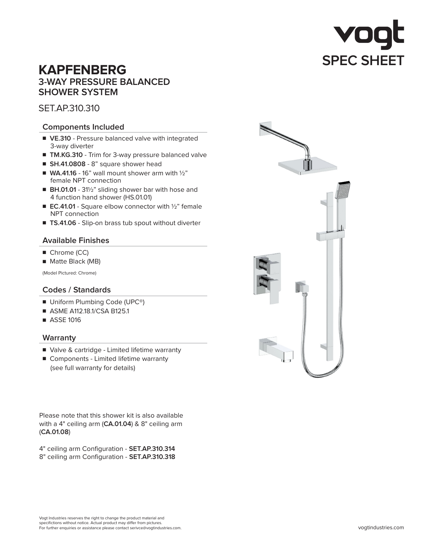# **KAPFENBERG 3-WAY PRESSURE BALANCED SHOWER SYSTEM**

SET.AP.310.310

## **Components Included**

- VE.310 Pressure balanced valve with integrated 3-way diverter
- **TM.KG.310** Trim for 3-way pressure balanced valve
- **SH.41.0808** 8" square shower head
- $\blacksquare$  **WA.41.16** 16" wall mount shower arm with  $1/2$ " female NPT connection
- **BH.01.01** 31<sup>1</sup>/<sub>2</sub>" sliding shower bar with hose and 4 function hand shower (HS.01.01)
- **EC.41.01** Square elbow connector with 1/2" female NPT connection
- **TS.41.06** Slip-on brass tub spout without diverter

## **Available Finishes**

- Chrome (CC)
- Matte Black (MB)

(Model Pictured: Chrome)

## **Codes / Standards**

- Uniform Plumbing Code (UPC<sup>®</sup>)
- ASME A112.18.1/CSA B125.1
- ASSE 1016

## **Warranty**

- Valve & cartridge Limited lifetime warranty
- Components Limited lifetime warranty (see full warranty for details)

Please note that this shower kit is also available with a 4" ceiling arm (**CA.01.04**) & 8" ceiling arm (**CA.01.08**)

4" ceiling arm Configuration - **SET.AP.310.314** 8" ceiling arm Configuration - **SET.AP.310.318**

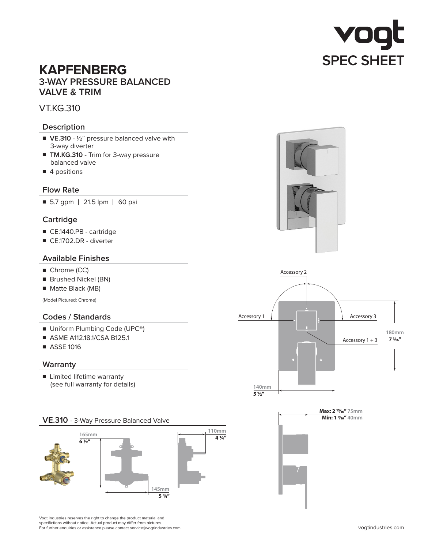

# **KAPFENBERG 3-WAY PRESSURE BALANCED VALVE & TRIM**

## VT.KG.310

## **Description**

- VE.310 1/<sub>2</sub>" pressure balanced valve with 3-way diverter
- **TM.KG.310** Trim for 3-way pressure balanced valve
- 4 positions

## **Flow Rate**

■ 5.7 gpm | 21.5 lpm | 60 psi

## **Cartridge**

- CE.1440.PB cartridge
- CE.1702.DR diverter

## **Available Finishes**

- Chrome (CC)
- Brushed Nickel (BN)
- Matte Black (MB)

(Model Pictured: Chrome)

## **Codes / Standards**

- Uniform Plumbing Code (UPC<sup>®</sup>)
- ASME A112.18.1/CSA B125.1
- ASSE 1016

#### **Warranty**

■ Limited lifetime warranty (see full warranty for details)





Vogt Industries reserves the right to change the product material and specifictions without notice. Actual product may differ from pictures. For further enquiries or assistance please contact service@vogtindustries.com.





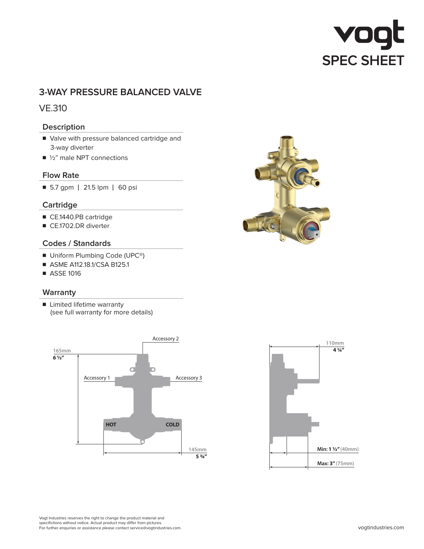# VO **SPEC SHEET**

# **3-WAY PRESSURE BALANCED VALVE**

# VE.310

## **Description**

- Valve with pressure balanced cartridge and 3-way diverter
- 1/2" male NPT connections

#### **Flow Rate**

■ 5.7 gpm | 21.5 lpm | 60 psi

## **Cartridge**

- CE.1440.PB cartridge
- CE.1702.DR diverter

## **Codes / Standards**

- Uniform Plumbing Code (UPC<sup>®</sup>)
- ASME A112.18.1/CSA B125.1
- ASSE 1016

## **Warranty**

■ Limited lifetime warranty (see full warranty for more details)







Vogt Industries reserves the right to change the product material and specifictions without notice. Actual product may differ from pictures. For further enquiries or assistance please contact service@vogtindustries.com.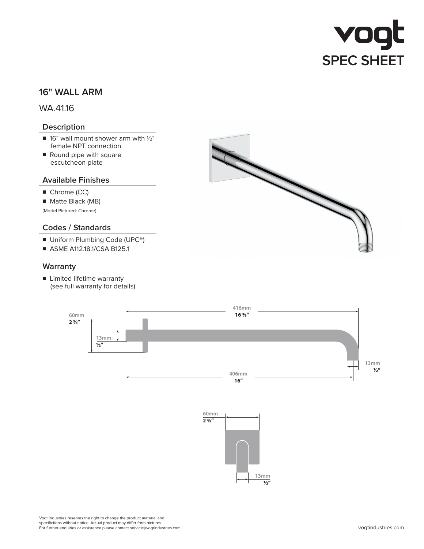

# **16" WALL ARM**

WA.41.16

## **Description**

- $\blacksquare$  16" wall mount shower arm with  $1/2$ " female NPT connection
- Round pipe with square escutcheon plate

#### **Available Finishes**

- Chrome (CC)
- Matte Black (MB)

(Model Pictured: Chrome)

#### **Codes / Standards**

- Uniform Plumbing Code (UPC<sup>®</sup>)
- ASME A112.18.1/CSA B125.1

#### **Warranty**

■ Limited lifetime warranty (see full warranty for details)







Vogt Industries reserves the right to change the product material and specifictions without notice. Actual product may differ from pictures. For further enquiries or assistance please contact service@vogtindustries.com.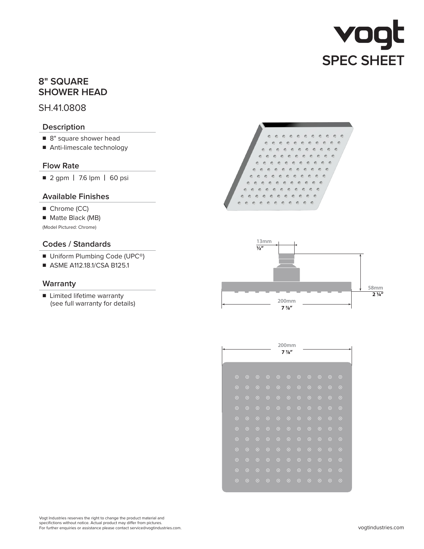# vogt **SPEC SHEET**

# **8" SQUARE SHOWER HEAD**

## SH.41.0808

## **Description**

- 8" square shower head
- Anti-limescale technology

## **Flow Rate**

■ 2 gpm **|** 7.6 lpm **|** 60 psi

## **Available Finishes**

- Chrome (CC)
- Matte Black (MB)

(Model Pictured: Chrome)

## **Codes / Standards**

- Uniform Plumbing Code (UPC<sup>®</sup>)
- ASME A112.18.1/CSA B125.1

## **Warranty**

■ Limited lifetime warranty (see full warranty for details)





|         |         |         |                |         | 200mm            |         |         |         |         |         |
|---------|---------|---------|----------------|---------|------------------|---------|---------|---------|---------|---------|
|         |         |         |                |         | $7\frac{7}{8}$ " |         |         |         |         |         |
|         |         |         |                |         |                  |         |         |         |         |         |
| $\odot$ | $\odot$ | $\odot$ | $\circledcirc$ | $\odot$ | $\odot$          | $\odot$ | $\odot$ | $\odot$ | $\odot$ | $\odot$ |
| $\odot$ | $\odot$ | $\odot$ | $\odot$        | $\odot$ | $\odot$          | $\odot$ | $\odot$ | $\odot$ | $\odot$ | $\odot$ |
| $\odot$ | $\odot$ | $\odot$ | $\odot$        | $\odot$ | $\odot$          | $\odot$ | $\odot$ | $\odot$ | $\odot$ | $\odot$ |
| $\odot$ | $\odot$ | $\odot$ | $\odot$        | $\odot$ | $\odot$          | $\odot$ | $\odot$ | $\odot$ | $\odot$ | $\odot$ |
| $\odot$ | $\odot$ | $\odot$ | $\odot$        | $\odot$ | $\odot$          | $\odot$ | $\odot$ | $\odot$ | $\odot$ | $\odot$ |
| $\odot$ | $\odot$ | $\odot$ | $\odot$        | $\odot$ | $\odot$          | $\odot$ | $\odot$ | $\odot$ | $\odot$ | $\odot$ |
| $\odot$ | $\odot$ | $\odot$ | $\odot$        | $\odot$ | $\odot$          | $\odot$ | $\odot$ | $\odot$ | $\odot$ | $\odot$ |
| $\odot$ | $\odot$ | $\odot$ | $\odot$        | $\odot$ | $\odot$          | $\odot$ | $\odot$ | $\odot$ | $\odot$ | $\odot$ |
| $\odot$ | $\odot$ | $\odot$ | $\odot$        | $\odot$ | $\odot$          | $\odot$ | $\odot$ | $\odot$ | $\odot$ | $\odot$ |
| $\odot$ | $\odot$ | $\odot$ | $\odot$        | $\odot$ | $\odot$          | $\odot$ | $\odot$ | $\odot$ | $\odot$ | $\odot$ |
| $\odot$ | $\odot$ | $\odot$ | $\odot$        | $\odot$ | $\odot$          | $\odot$ | $\odot$ | $\odot$ | $\odot$ | $\odot$ |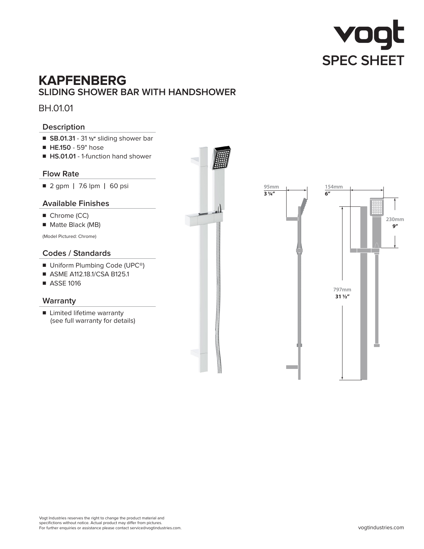

# **KAPFENBERG SLIDING SHOWER BAR WITH HANDSHOWER**

BH.01.01

## **Description**

- **SB.01.31** 31 <sup>1</sup>/<sub>2</sub>" sliding shower bar
- ■ **HE.150** 59" hose
- **HS.01.01** 1-function hand shower

#### **Flow Rate**

■ 2 gpm **|** 7.6 lpm **|** 60 psi

## **Available Finishes**

- Chrome (CC)
- Matte Black (MB)

(Model Pictured: Chrome)

## **Codes / Standards**

- Uniform Plumbing Code (UPC<sup>®</sup>)
- ASME A112.18.1/CSA B125.1
- ASSE 1016

#### **Warranty**

■ Limited lifetime warranty (see full warranty for details)

**797mm 31 1/2" 230mm 9" 154mm 6"**

**95mm 3 1/4"**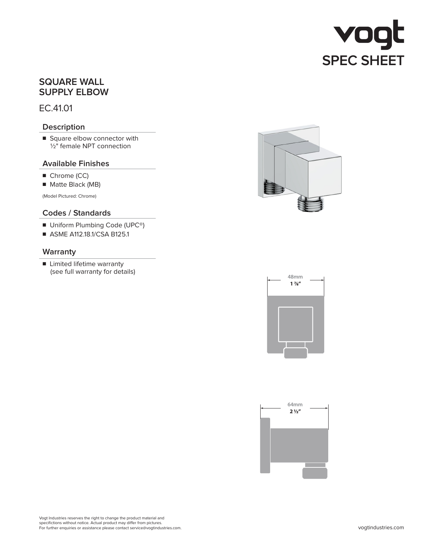

# **SQUARE WALL SUPPLY ELBOW**

EC.41.01

## **Description**

■ Square elbow connector with  $1/2$ " female NPT connection

#### **Available Finishes**

- Chrome (CC)
- Matte Black (MB)

(Model Pictured: Chrome)

## **Codes / Standards**

- Uniform Plumbing Code (UPC<sup>®</sup>)
- ASME A112.18.1/CSA B125.1

#### **Warranty**

■ Limited lifetime warranty (see full warranty for details)